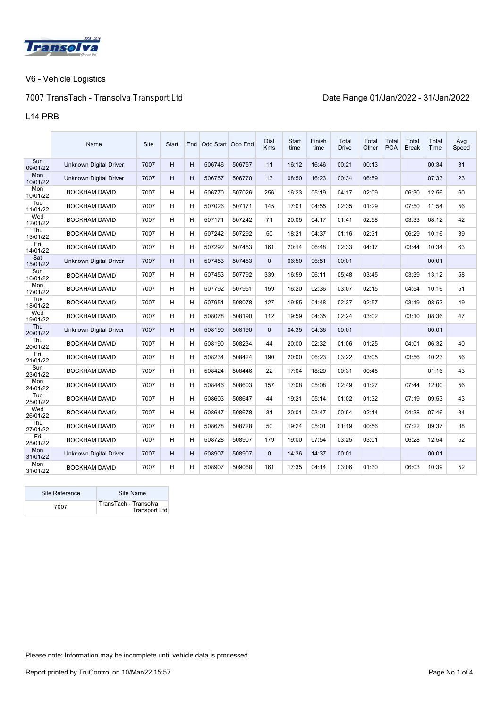

# 7007 **TransTach - Transol**va Transport Ltd **Date Range 01/Jan/2022 - 31/Jan/2022**

#### L14 PRB

|                 | Name                          | <b>Site</b> | Start |   | End Odo Start Odo End |        | <b>Dist</b><br><b>Kms</b> | <b>Start</b><br>time | Finish<br>time | Total<br><b>Drive</b> | Total<br>Other | Total<br><b>POA</b> | Total<br><b>Break</b> | Total<br>Time | Avg<br>Speed |
|-----------------|-------------------------------|-------------|-------|---|-----------------------|--------|---------------------------|----------------------|----------------|-----------------------|----------------|---------------------|-----------------------|---------------|--------------|
| Sun<br>09/01/22 | <b>Unknown Digital Driver</b> | 7007        | H     | H | 506746                | 506757 | 11                        | 16:12                | 16:46          | 00:21                 | 00:13          |                     |                       | 00:34         | 31           |
| Mon<br>10/01/22 | Unknown Digital Driver        | 7007        | H     | H | 506757                | 506770 | 13                        | 08:50                | 16:23          | 00:34                 | 06:59          |                     |                       | 07:33         | 23           |
| Mon<br>10/01/22 | <b>BOCKHAM DAVID</b>          | 7007        | H     | Н | 506770                | 507026 | 256                       | 16:23                | 05:19          | 04:17                 | 02:09          |                     | 06:30                 | 12:56         | 60           |
| Tue<br>11/01/22 | <b>BOCKHAM DAVID</b>          | 7007        | H     | H | 507026                | 507171 | 145                       | 17:01                | 04:55          | 02:35                 | 01:29          |                     | 07:50                 | 11:54         | 56           |
| Wed<br>12/01/22 | <b>BOCKHAM DAVID</b>          | 7007        | н     | H | 507171                | 507242 | 71                        | 20:05                | 04:17          | 01:41                 | 02:58          |                     | 03:33                 | 08:12         | 42           |
| Thu<br>13/01/22 | <b>BOCKHAM DAVID</b>          | 7007        | H     | H | 507242                | 507292 | 50                        | 18:21                | 04:37          | 01:16                 | 02:31          |                     | 06:29                 | 10:16         | 39           |
| Fri<br>14/01/22 | <b>BOCKHAM DAVID</b>          | 7007        | H     | H | 507292                | 507453 | 161                       | 20:14                | 06:48          | 02:33                 | 04:17          |                     | 03:44                 | 10:34         | 63           |
| Sat<br>15/01/22 | Unknown Digital Driver        | 7007        | H     | H | 507453                | 507453 | $\mathbf 0$               | 06:50                | 06:51          | 00:01                 |                |                     |                       | 00:01         |              |
| Sun<br>16/01/22 | <b>BOCKHAM DAVID</b>          | 7007        | H     | Н | 507453                | 507792 | 339                       | 16:59                | 06:11          | 05:48                 | 03:45          |                     | 03:39                 | 13:12         | 58           |
| Mon<br>17/01/22 | <b>BOCKHAM DAVID</b>          | 7007        | H     | H | 507792                | 507951 | 159                       | 16:20                | 02:36          | 03:07                 | 02:15          |                     | 04:54                 | 10:16         | 51           |
| Tue<br>18/01/22 | <b>BOCKHAM DAVID</b>          | 7007        | H     | H | 507951                | 508078 | 127                       | 19:55                | 04:48          | 02:37                 | 02:57          |                     | 03:19                 | 08:53         | 49           |
| Wed<br>19/01/22 | <b>BOCKHAM DAVID</b>          | 7007        | H     | Н | 508078                | 508190 | 112                       | 19:59                | 04:35          | 02:24                 | 03:02          |                     | 03:10                 | 08:36         | 47           |
| Thu<br>20/01/22 | Unknown Digital Driver        | 7007        | H     | H | 508190                | 508190 | $\mathbf{0}$              | 04:35                | 04:36          | 00:01                 |                |                     |                       | 00:01         |              |
| Thu<br>20/01/22 | <b>BOCKHAM DAVID</b>          | 7007        | H     | H | 508190                | 508234 | 44                        | 20:00                | 02:32          | 01:06                 | 01:25          |                     | 04:01                 | 06:32         | 40           |
| Fri<br>21/01/22 | <b>BOCKHAM DAVID</b>          | 7007        | H     | H | 508234                | 508424 | 190                       | 20:00                | 06:23          | 03:22                 | 03:05          |                     | 03:56                 | 10:23         | 56           |
| Sun<br>23/01/22 | <b>BOCKHAM DAVID</b>          | 7007        | н     | H | 508424                | 508446 | 22                        | 17:04                | 18:20          | 00:31                 | 00:45          |                     |                       | 01:16         | 43           |
| Mon<br>24/01/22 | <b>BOCKHAM DAVID</b>          | 7007        | H     | H | 508446                | 508603 | 157                       | 17:08                | 05:08          | 02:49                 | 01:27          |                     | 07:44                 | 12:00         | 56           |
| Tue<br>25/01/22 | <b>BOCKHAM DAVID</b>          | 7007        | H     | H | 508603                | 508647 | 44                        | 19:21                | 05:14          | 01:02                 | 01:32          |                     | 07:19                 | 09:53         | 43           |
| Wed<br>26/01/22 | <b>BOCKHAM DAVID</b>          | 7007        | н     | H | 508647                | 508678 | 31                        | 20:01                | 03:47          | 00:54                 | 02:14          |                     | 04:38                 | 07:46         | 34           |
| Thu<br>27/01/22 | <b>BOCKHAM DAVID</b>          | 7007        | H     | Н | 508678                | 508728 | 50                        | 19:24                | 05:01          | 01:19                 | 00:56          |                     | 07:22                 | 09:37         | 38           |
| Fri<br>28/01/22 | <b>BOCKHAM DAVID</b>          | 7007        | н     | H | 508728                | 508907 | 179                       | 19:00                | 07:54          | 03:25                 | 03:01          |                     | 06:28                 | 12:54         | 52           |
| Mon<br>31/01/22 | Unknown Digital Driver        | 7007        | H     | H | 508907                | 508907 | $\mathbf{0}$              | 14:36                | 14:37          | 00:01                 |                |                     |                       | 00:01         |              |
| Mon<br>31/01/22 | <b>BOCKHAM DAVID</b>          | 7007        | H     | H | 508907                | 509068 | 161                       | 17:35                | 04:14          | 03:06                 | 01:30          |                     | 06:03                 | 10:39         | 52           |

| Site Reference | Site Name                                     |
|----------------|-----------------------------------------------|
| 7007           | TransTach - Transolva<br><b>Transport Ltd</b> |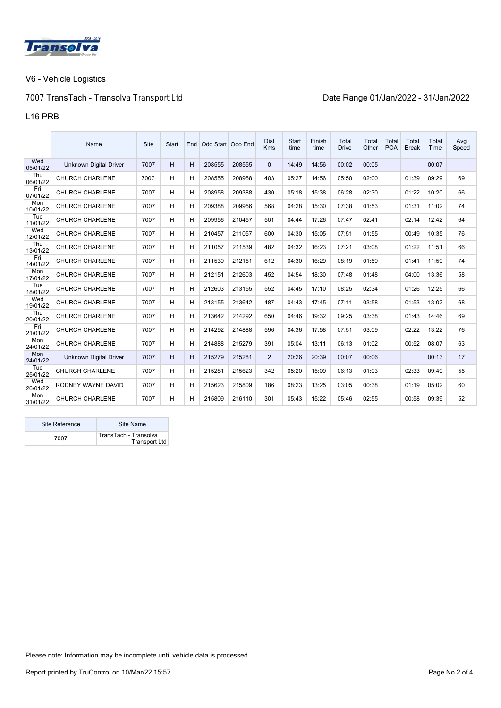

# 7007 **TransTach - Transol**va Transport Ltd **Date Range 01/Jan/2022 - 31/Jan/2022**

#### L16 PRB

|                 | Name                          | Site | <b>Start</b> | End | Odo Start Odo End |        | <b>Dist</b><br><b>Kms</b> | <b>Start</b><br>time | Finish<br>time | Total<br><b>Drive</b> | Total<br>Other | Total<br><b>POA</b> | Total<br><b>Break</b> | Total<br>Time | Avg<br>Speed |
|-----------------|-------------------------------|------|--------------|-----|-------------------|--------|---------------------------|----------------------|----------------|-----------------------|----------------|---------------------|-----------------------|---------------|--------------|
| Wed<br>05/01/22 | <b>Unknown Digital Driver</b> | 7007 | H            | H   | 208555            | 208555 | $\mathbf{0}$              | 14:49                | 14:56          | 00:02                 | 00:05          |                     |                       | 00:07         |              |
| Thu<br>06/01/22 | <b>CHURCH CHARLENE</b>        | 7007 | н            | н   | 208555            | 208958 | 403                       | 05:27                | 14:56          | 05:50                 | 02:00          |                     | 01:39                 | 09:29         | 69           |
| Fri<br>07/01/22 | <b>CHURCH CHARLENE</b>        | 7007 | н            | H   | 208958            | 209388 | 430                       | 05:18                | 15:38          | 06:28                 | 02:30          |                     | 01:22                 | 10:20         | 66           |
| Mon<br>10/01/22 | <b>CHURCH CHARLENE</b>        | 7007 | H            | H   | 209388            | 209956 | 568                       | 04:28                | 15:30          | 07:38                 | 01:53          |                     | 01:31                 | 11:02         | 74           |
| Tue<br>11/01/22 | <b>CHURCH CHARLENE</b>        | 7007 | н            | н   | 209956            | 210457 | 501                       | 04:44                | 17:26          | 07:47                 | 02:41          |                     | 02:14                 | 12:42         | 64           |
| Wed<br>12/01/22 | <b>CHURCH CHARLENE</b>        | 7007 | н            | н   | 210457            | 211057 | 600                       | 04:30                | 15:05          | 07:51                 | 01:55          |                     | 00:49                 | 10:35         | 76           |
| Thu<br>13/01/22 | <b>CHURCH CHARLENE</b>        | 7007 | н            | н   | 211057            | 211539 | 482                       | 04:32                | 16:23          | 07:21                 | 03:08          |                     | 01:22                 | 11:51         | 66           |
| Fri<br>14/01/22 | <b>CHURCH CHARLENE</b>        | 7007 | н            | н   | 211539            | 212151 | 612                       | 04:30                | 16:29          | 08:19                 | 01:59          |                     | 01:41                 | 11:59         | 74           |
| Mon<br>17/01/22 | <b>CHURCH CHARLENE</b>        | 7007 | H            | н   | 212151            | 212603 | 452                       | 04:54                | 18:30          | 07:48                 | 01:48          |                     | 04:00                 | 13:36         | 58           |
| Tue<br>18/01/22 | <b>CHURCH CHARLENE</b>        | 7007 | н            | н   | 212603            | 213155 | 552                       | 04:45                | 17:10          | 08:25                 | 02:34          |                     | 01:26                 | 12:25         | 66           |
| Wed<br>19/01/22 | <b>CHURCH CHARLENE</b>        | 7007 | н            | н   | 213155            | 213642 | 487                       | 04:43                | 17:45          | 07:11                 | 03:58          |                     | 01:53                 | 13:02         | 68           |
| Thu<br>20/01/22 | <b>CHURCH CHARLENE</b>        | 7007 | н            | Н   | 213642            | 214292 | 650                       | 04:46                | 19:32          | 09:25                 | 03:38          |                     | 01:43                 | 14:46         | 69           |
| Fri<br>21/01/22 | <b>CHURCH CHARLENE</b>        | 7007 | H            | н   | 214292            | 214888 | 596                       | 04:36                | 17:58          | 07:51                 | 03:09          |                     | 02:22                 | 13:22         | 76           |
| Mon<br>24/01/22 | <b>CHURCH CHARLENE</b>        | 7007 | н            | н   | 214888            | 215279 | 391                       | 05:04                | 13:11          | 06:13                 | 01:02          |                     | 00:52                 | 08:07         | 63           |
| Mon<br>24/01/22 | <b>Unknown Digital Driver</b> | 7007 | H            | H   | 215279            | 215281 | 2                         | 20:26                | 20:39          | 00:07                 | 00:06          |                     |                       | 00:13         | 17           |
| Tue<br>25/01/22 | <b>CHURCH CHARLENE</b>        | 7007 | н            | н   | 215281            | 215623 | 342                       | 05:20                | 15:09          | 06:13                 | 01:03          |                     | 02:33                 | 09:49         | 55           |
| Wed<br>26/01/22 | RODNEY WAYNE DAVID            | 7007 | н            | н   | 215623            | 215809 | 186                       | 08:23                | 13:25          | 03:05                 | 00:38          |                     | 01:19                 | 05:02         | 60           |
| Mon<br>31/01/22 | <b>CHURCH CHARLENE</b>        | 7007 | н            | н   | 215809            | 216110 | 301                       | 05:43                | 15:22          | 05:46                 | 02:55          |                     | 00:58                 | 09:39         | 52           |

| Site Reference | Site Name                              |
|----------------|----------------------------------------|
| 7007           | TransTach - Transolva<br>Transport Ltd |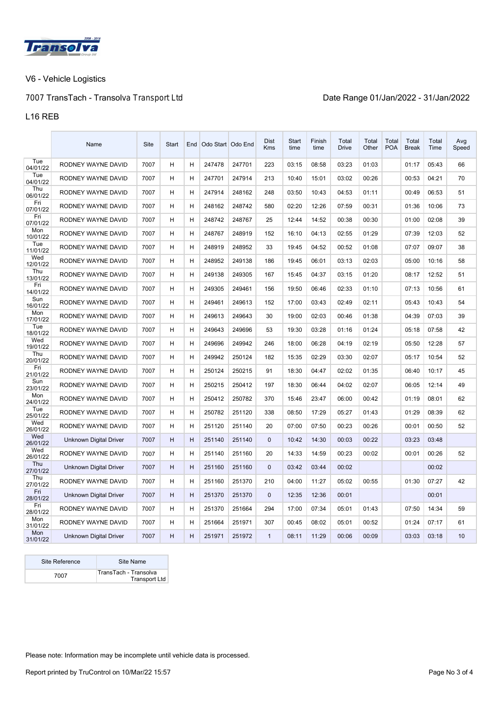

# 7007 **TransTach - Transol**va Transport Ltd **Date Range 01/Jan/2022 - 31/Jan/2022**

#### L16 REB

|                 | Name                          | Site | Start | End | Odo Start Odo End |        | Dist<br><b>Kms</b> | Start<br>time | Finish<br>time | Total<br><b>Drive</b> | Total<br>Other | Total<br><b>POA</b> | Total<br><b>Break</b> | Total<br>Time | Avg<br>Speed |
|-----------------|-------------------------------|------|-------|-----|-------------------|--------|--------------------|---------------|----------------|-----------------------|----------------|---------------------|-----------------------|---------------|--------------|
| Tue<br>04/01/22 | RODNEY WAYNE DAVID            | 7007 | H     | Н   | 247478            | 247701 | 223                | 03:15         | 08:58          | 03:23                 | 01:03          |                     | 01:17                 | 05:43         | 66           |
| Tue<br>04/01/22 | RODNEY WAYNE DAVID            | 7007 | н     | Н   | 247701            | 247914 | 213                | 10:40         | 15:01          | 03:02                 | 00:26          |                     | 00:53                 | 04:21         | 70           |
| Thu<br>06/01/22 | RODNEY WAYNE DAVID            | 7007 | Н     | H   | 247914            | 248162 | 248                | 03:50         | 10:43          | 04:53                 | 01:11          |                     | 00:49                 | 06:53         | 51           |
| Fri<br>07/01/22 | RODNEY WAYNE DAVID            | 7007 | н     | Н   | 248162            | 248742 | 580                | 02:20         | 12:26          | 07:59                 | 00:31          |                     | 01:36                 | 10:06         | 73           |
| Fri<br>07/01/22 | RODNEY WAYNE DAVID            | 7007 | H     | Н   | 248742            | 248767 | 25                 | 12:44         | 14:52          | 00:38                 | 00:30          |                     | 01:00                 | 02:08         | 39           |
| Mon<br>10/01/22 | RODNEY WAYNE DAVID            | 7007 | Н     | H   | 248767            | 248919 | 152                | 16:10         | 04:13          | 02:55                 | 01:29          |                     | 07:39                 | 12:03         | 52           |
| Tue<br>11/01/22 | RODNEY WAYNE DAVID            | 7007 | H     | H   | 248919            | 248952 | 33                 | 19:45         | 04:52          | 00:52                 | 01:08          |                     | 07:07                 | 09:07         | 38           |
| Wed<br>12/01/22 | RODNEY WAYNE DAVID            | 7007 | н     | H   | 248952            | 249138 | 186                | 19:45         | 06:01          | 03:13                 | 02:03          |                     | 05:00                 | 10:16         | 58           |
| Thu<br>13/01/22 | RODNEY WAYNE DAVID            | 7007 | H     | H   | 249138            | 249305 | 167                | 15:45         | 04:37          | 03:15                 | 01:20          |                     | 08:17                 | 12:52         | 51           |
| Fri<br>14/01/22 | RODNEY WAYNE DAVID            | 7007 | H     | H   | 249305            | 249461 | 156                | 19:50         | 06:46          | 02:33                 | 01:10          |                     | 07:13                 | 10:56         | 61           |
| Sun<br>16/01/22 | RODNEY WAYNE DAVID            | 7007 | H     | H   | 249461            | 249613 | 152                | 17:00         | 03:43          | 02:49                 | 02:11          |                     | 05:43                 | 10:43         | 54           |
| Mon<br>17/01/22 | RODNEY WAYNE DAVID            | 7007 | н     | H   | 249613            | 249643 | 30                 | 19:00         | 02:03          | 00:46                 | 01:38          |                     | 04:39                 | 07:03         | 39           |
| Tue<br>18/01/22 | RODNEY WAYNE DAVID            | 7007 | н     | H   | 249643            | 249696 | 53                 | 19:30         | 03:28          | 01:16                 | 01:24          |                     | 05:18                 | 07:58         | 42           |
| Wed<br>19/01/22 | RODNEY WAYNE DAVID            | 7007 | H     | Н   | 249696            | 249942 | 246                | 18:00         | 06:28          | 04:19                 | 02:19          |                     | 05:50                 | 12:28         | 57           |
| Thu<br>20/01/22 | RODNEY WAYNE DAVID            | 7007 | H     | Н   | 249942            | 250124 | 182                | 15:35         | 02:29          | 03:30                 | 02:07          |                     | 05:17                 | 10:54         | 52           |
| Fri<br>21/01/22 | RODNEY WAYNE DAVID            | 7007 | н     | H   | 250124            | 250215 | 91                 | 18:30         | 04:47          | 02:02                 | 01:35          |                     | 06:40                 | 10:17         | 45           |
| Sun<br>23/01/22 | RODNEY WAYNE DAVID            | 7007 | н     | Н   | 250215            | 250412 | 197                | 18:30         | 06:44          | 04:02                 | 02:07          |                     | 06:05                 | 12:14         | 49           |
| Mon<br>24/01/22 | RODNEY WAYNE DAVID            | 7007 | н     | Н   | 250412            | 250782 | 370                | 15:46         | 23:47          | 06:00                 | 00:42          |                     | 01:19                 | 08:01         | 62           |
| Tue<br>25/01/22 | RODNEY WAYNE DAVID            | 7007 | н     | H   | 250782            | 251120 | 338                | 08:50         | 17:29          | 05:27                 | 01:43          |                     | 01:29                 | 08:39         | 62           |
| Wed<br>26/01/22 | RODNEY WAYNE DAVID            | 7007 | H     | H   | 251120            | 251140 | 20                 | 07:00         | 07:50          | 00:23                 | 00:26          |                     | 00:01                 | 00:50         | 52           |
| Wed<br>26/01/22 | <b>Unknown Digital Driver</b> | 7007 | H     | H   | 251140            | 251140 | $\mathbf{0}$       | 10:42         | 14:30          | 00:03                 | 00:22          |                     | 03:23                 | 03:48         |              |
| Wed<br>26/01/22 | RODNEY WAYNE DAVID            | 7007 | H     | H   | 251140            | 251160 | 20                 | 14:33         | 14:59          | 00:23                 | 00:02          |                     | 00:01                 | 00:26         | 52           |
| Thu<br>27/01/22 | <b>Unknown Digital Driver</b> | 7007 | H     | H   | 251160            | 251160 | $\Omega$           | 03:42         | 03:44          | 00:02                 |                |                     |                       | 00:02         |              |
| Thu<br>27/01/22 | RODNEY WAYNE DAVID            | 7007 | H     | Н   | 251160            | 251370 | 210                | 04:00         | 11:27          | 05:02                 | 00:55          |                     | 01:30                 | 07:27         | 42           |
| Fri<br>28/01/22 | Unknown Digital Driver        | 7007 | H     | H   | 251370            | 251370 | $\mathbf{0}$       | 12:35         | 12:36          | 00:01                 |                |                     |                       | 00:01         |              |
| Fri<br>28/01/22 | RODNEY WAYNE DAVID            | 7007 | н     | H   | 251370            | 251664 | 294                | 17:00         | 07:34          | 05:01                 | 01:43          |                     | 07:50                 | 14:34         | 59           |
| Mon<br>31/01/22 | RODNEY WAYNE DAVID            | 7007 | н     | Н   | 251664            | 251971 | 307                | 00:45         | 08:02          | 05:01                 | 00:52          |                     | 01:24                 | 07:17         | 61           |
| Mon<br>31/01/22 | <b>Unknown Digital Driver</b> | 7007 | н     | H   | 251971            | 251972 | $\mathbf{1}$       | 08:11         | 11:29          | 00:06                 | 00:09          |                     | 03:03                 | 03:18         | 10           |

| Site Reference | Site Name                                     |
|----------------|-----------------------------------------------|
| 7007           | TransTach - Transolva<br><b>Transport Ltd</b> |